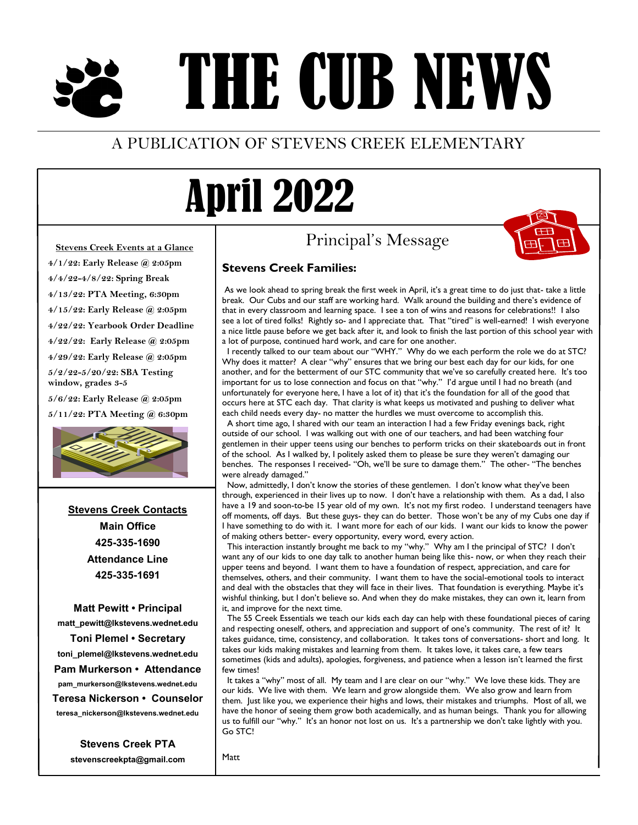# THE CUB NEWS

### A PUBLICATION OF STEVENS CREEK ELEMENTARY

# April 2022

## Principal's Message



#### **Stevens Creek Events at a Glance**

**4/1/22: Early Release @ 2:05pm 4/4/22-4/8/22: Spring Break 4/13/22: PTA Meeting, 6:30pm**

**4/15/22: Early Release @ 2:05pm**

**4/22/22: Yearbook Order Deadline**

**4/22/22: Early Release @ 2:05pm**

**4/29/22: Early Release @ 2:05pm 5/2/22-5/20/22: SBA Testing** 

**window, grades 3-5**

**5/6/22: Early Release @ 2:05pm 5/11/22: PTA Meeting @ 6:30pm**



**Stevens Creek Contacts Main Office 425-335-1690 Attendance Line 425-335-1691**

**Matt Pewitt • Principal matt\_pewitt@lkstevens.wednet.edu Toni Plemel • Secretary toni\_plemel@lkstevens.wednet.edu Pam Murkerson • Attendance**

**pam\_murkerson@lkstevens.wednet.edu Teresa Nickerson • Counselor teresa\_nickerson@lkstevens.wednet.edu**

> **Stevens Creek PTA stevenscreekpta@gmail.com**

### **Stevens Creek Families:**

As we look ahead to spring break the first week in April, it's a great time to do just that- take a little break. Our Cubs and our staff are working hard. Walk around the building and there's evidence of that in every classroom and learning space. I see a ton of wins and reasons for celebrations!! I also see a lot of tired folks! Rightly so- and I appreciate that. That "tired" is well-earned! I wish everyone a nice little pause before we get back after it, and look to finish the last portion of this school year with a lot of purpose, continued hard work, and care for one another.

I recently talked to our team about our "WHY." Why do we each perform the role we do at STC? Why does it matter? A clear "why" ensures that we bring our best each day for our kids, for one another, and for the betterment of our STC community that we've so carefully created here. It's too important for us to lose connection and focus on that "why." I'd argue until I had no breath (and unfortunately for everyone here, I have a lot of it) that it's the foundation for all of the good that occurs here at STC each day. That clarity is what keeps us motivated and pushing to deliver what each child needs every day- no matter the hurdles we must overcome to accomplish this.

A short time ago, I shared with our team an interaction I had a few Friday evenings back, right outside of our school. I was walking out with one of our teachers, and had been watching four gentlemen in their upper teens using our benches to perform tricks on their skateboards out in front of the school. As I walked by, I politely asked them to please be sure they weren't damaging our benches. The responses I received- "Oh, we'll be sure to damage them." The other- "The benches were already damaged."

Now, admittedly, I don't know the stories of these gentlemen. I don't know what they've been through, experienced in their lives up to now. I don't have a relationship with them. As a dad, I also have a 19 and soon-to-be 15 year old of my own. It's not my first rodeo. I understand teenagers have off moments, off days. But these guys- they can do better. Those won't be any of my Cubs one day if I have something to do with it. I want more for each of our kids. I want our kids to know the power of making others better- every opportunity, every word, every action.

This interaction instantly brought me back to my "why." Why am I the principal of STC? I don't want any of our kids to one day talk to another human being like this- now, or when they reach their upper teens and beyond. I want them to have a foundation of respect, appreciation, and care for themselves, others, and their community. I want them to have the social-emotional tools to interact and deal with the obstacles that they will face in their lives. That foundation is everything. Maybe it's wishful thinking, but I don't believe so. And when they do make mistakes, they can own it, learn from it, and improve for the next time.

 The 55 Creek Essentials we teach our kids each day can help with these foundational pieces of caring and respecting oneself, others, and appreciation and support of one's community. The rest of it? It takes guidance, time, consistency, and collaboration. It takes tons of conversations- short and long. It takes our kids making mistakes and learning from them. It takes love, it takes care, a few tears sometimes (kids and adults), apologies, forgiveness, and patience when a lesson isn't learned the first few times!

It takes a "why" most of all. My team and I are clear on our "why." We love these kids. They are our kids. We live with them. We learn and grow alongside them. We also grow and learn from them. Just like you, we experience their highs and lows, their mistakes and triumphs. Most of all, we have the honor of seeing them grow both academically, and as human beings. Thank you for allowing us to fulfill our "why." It's an honor not lost on us. It's a partnership we don't take lightly with you. Go STC!

Matt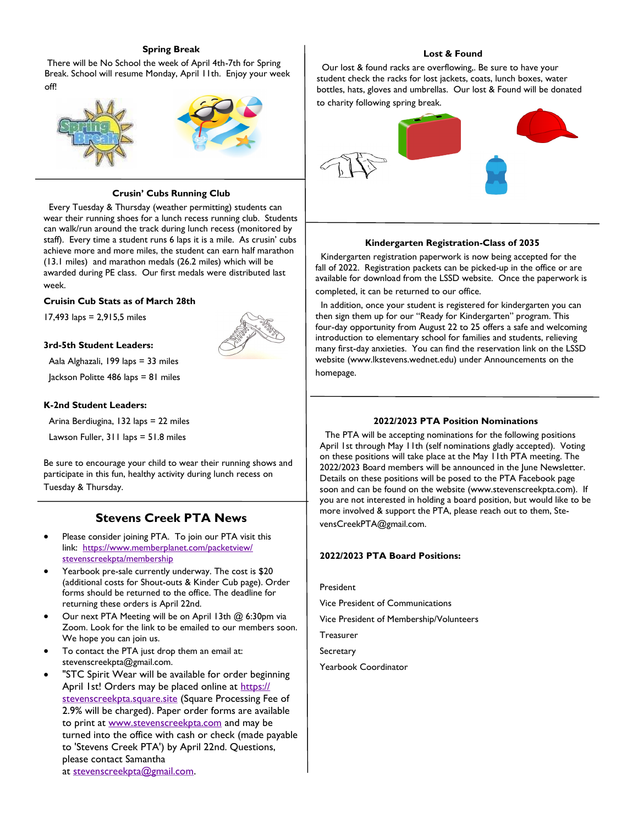#### **Spring Break**

There will be No School the week of April 4th-7th for Spring Break. School will resume Monday, April 11th. Enjoy your week off!



#### **Crusin' Cubs Running Club**

 Every Tuesday & Thursday (weather permitting) students can wear their running shoes for a lunch recess running club. Students can walk/run around the track during lunch recess (monitored by staff). Every time a student runs 6 laps it is a mile. As crusin' cubs achieve more and more miles, the student can earn half marathon (13.1 miles) and marathon medals (26.2 miles) which will be awarded during PE class. Our first medals were distributed last week.

#### **Cruisin Cub Stats as of March 28th**

17,493 laps = 2,915,5 miles



Aala Alghazali, 199 laps = 33 miles

Jackson Politte 486 laps = 81 miles

#### **K-2nd Student Leaders:**

Arina Berdiugina, 132 laps = 22 miles

Lawson Fuller, 311 laps = 51.8 miles

Be sure to encourage your child to wear their running shows and participate in this fun, healthy activity during lunch recess on Tuesday & Thursday.

#### **Stevens Creek PTA News**

- Please consider joining PTA. To join our PTA visit this link: [https://www.memberplanet.com/packetview/](https://www.memberplanet.com/packetview/stevenscreekpta/membership) [stevenscreekpta/membership](https://www.memberplanet.com/packetview/stevenscreekpta/membership)
- Yearbook pre-sale currently underway. The cost is \$20 (additional costs for Shout-outs & Kinder Cub page). Order forms should be returned to the office. The deadline for returning these orders is April 22nd.
- Our next PTA Meeting will be on April 13th @ 6:30pm via Zoom. Look for the link to be emailed to our members soon. We hope you can join us.
- To contact the PTA just drop them an email at: stevenscreekpta@gmail.com.
- "STC Spirit Wear will be available for order beginning April 1st! Orders may be placed online at [https://](https://stevenscreekpta.square.site/) [stevenscreekpta.square.site](https://stevenscreekpta.square.site/) (Square Processing Fee of 2.9% will be charged). Paper order forms are available to print at [www.stevenscreekpta.com](http://www.stevenscreekpta.com/) and may be turned into the office with cash or check (made payable to 'Stevens Creek PTA') by April 22nd. Questions, please contact Samantha at [stevenscreekpta@gmail.com.](mailto:stevenscreekpta@gmail.com)

#### **Lost & Found**

 Our lost & found racks are overflowing,. Be sure to have your student check the racks for lost jackets, coats, lunch boxes, water bottles, hats, gloves and umbrellas. Our lost & Found will be donated to charity following spring break.



#### **Kindergarten Registration-Class of 2035**

 Kindergarten registration paperwork is now being accepted for the fall of 2022. Registration packets can be picked-up in the office or are available for download from the LSSD website. Once the paperwork is completed, it can be returned to our office.

 In addition, once your student is registered for kindergarten you can then sign them up for our "Ready for Kindergarten" program. This four-day opportunity from August 22 to 25 offers a safe and welcoming introduction to elementary school for families and students, relieving many first-day anxieties. You can find the reservation link on the LSSD website (www.lkstevens.wednet.edu) under Announcements on the homepage.

#### **2022/2023 PTA Position Nominations**

 The PTA will be accepting nominations for the following positions April 1st through May 11th (self nominations gladly accepted). Voting on these positions will take place at the May 11th PTA meeting. The 2022/2023 Board members will be announced in the June Newsletter. Details on these positions will be posed to the PTA Facebook page soon and can be found on the website (www.stevenscreekpta.com). If you are not interested in holding a board position, but would like to be more involved & support the PTA, please reach out to them, StevensCreekPTA@gmail.com.

#### **2022/2023 PTA Board Positions:**

President

Vice President of Communications

Vice President of Membership/Volunteers

**Treasurer** 

**Secretary** 

Yearbook Coordinator